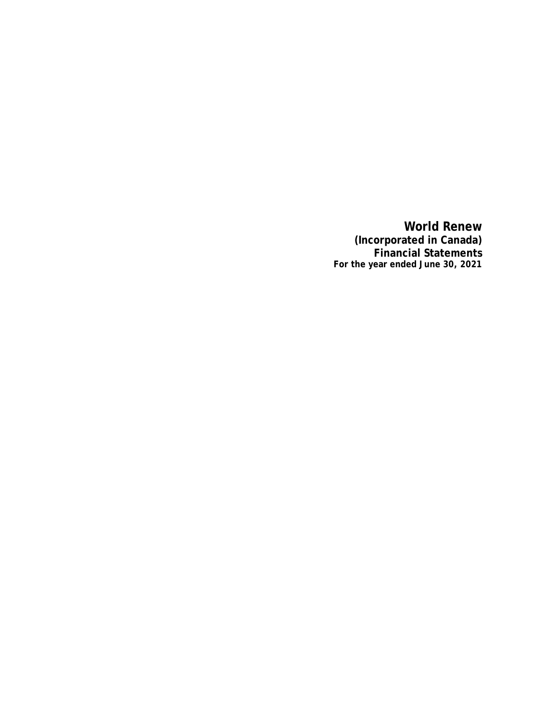**World Renew (Incorporated in Canada) Financial Statements For the year ended June 30, 2021**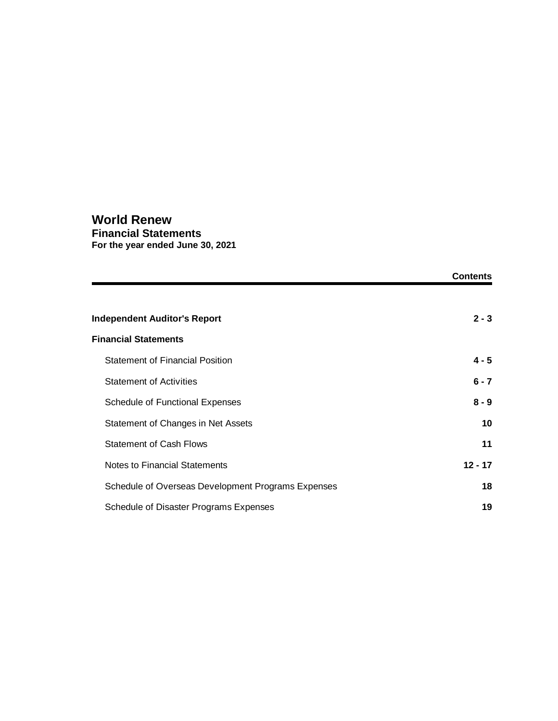### **World Renew Financial Statements For the year ended June 30, 2021**

|                                                    | <b>Contents</b> |
|----------------------------------------------------|-----------------|
|                                                    |                 |
| <b>Independent Auditor's Report</b>                | $2 - 3$         |
| <b>Financial Statements</b>                        |                 |
| <b>Statement of Financial Position</b>             | $4 - 5$         |
| <b>Statement of Activities</b>                     | $6 - 7$         |
| Schedule of Functional Expenses                    | $8 - 9$         |
| Statement of Changes in Net Assets                 | 10              |
| <b>Statement of Cash Flows</b>                     | 11              |
| Notes to Financial Statements                      | $12 - 17$       |
| Schedule of Overseas Development Programs Expenses | 18              |
| Schedule of Disaster Programs Expenses             | 19              |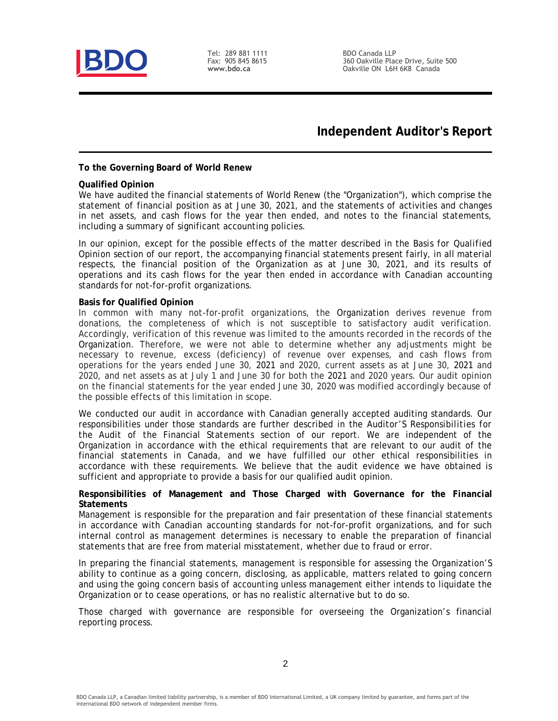

Tel: 289 881 1111 Fax: 905 845 8615 www.bdo.ca

BDO Canada LLP 360 Oakville Place Drive, Suite 500 Oakville ON L6H 6K8 Canada

## **Independent Auditor's Report**

**To the Governing Board of World Renew**

**Qualified Opinion**

We have audited the financial statements of World Renew (the "Organization"), which comprise the statement of financial position as at June 30, 2021, and the statements of activities and changes in net assets, and cash flows for the year then ended, and notes to the financial statements, including a summary of significant accounting policies.

In our opinion, except for the possible effects of the matter described in the *Basis for Qualified Opinion* section of our report, the accompanying financial statements present fairly, in all material respects, the financial position of the Organization as at June 30, 2021, and its results of operations and its cash flows for the year then ended in accordance with Canadian accounting standards for not-for-profit organizations.

#### **Basis for Qualified Opinion**

In common with many not-for-profit organizations, the Organization derives revenue from donations, the completeness of which is not susceptible to satisfactory audit verification. Accordingly, verification of this revenue was limited to the amounts recorded in the records of the Organization. Therefore, we were not able to determine whether any adjustments might be necessary to revenue, excess (deficiency) of revenue over expenses, and cash flows from operations for the years ended June 30, 2021 and 2020, current assets as at June 30, 2021 and 2020, and net assets as at July 1 and June 30 for both the 2021 and 2020 years. Our audit opinion on the financial statements for the year ended June 30, 2020 was modified accordingly because of the possible effects of this limitation in scope.

We conducted our audit in accordance with Canadian generally accepted auditing standards. Our responsibilities under those standards are further described in the *Auditor'S Responsibilities for the Audit of the Financial Statements* section of our report. We are independent of the Organization in accordance with the ethical requirements that are relevant to our audit of the financial statements in Canada, and we have fulfilled our other ethical responsibilities in accordance with these requirements. We believe that the audit evidence we have obtained is sufficient and appropriate to provide a basis for our qualified audit opinion.

**Responsibilities of Management and Those Charged with Governance for the Financial Statements**

Management is responsible for the preparation and fair presentation of these financial statements in accordance with Canadian accounting standards for not-for-profit organizations, and for such internal control as management determines is necessary to enable the preparation of financial statements that are free from material misstatement, whether due to fraud or error.

In preparing the financial statements, management is responsible for assessing the Organization'S ability to continue as a going concern, disclosing, as applicable, matters related to going concern and using the going concern basis of accounting unless management either intends to liquidate the Organization or to cease operations, or has no realistic alternative but to do so.

Those charged with governance are responsible for overseeing the Organization's financial reporting process.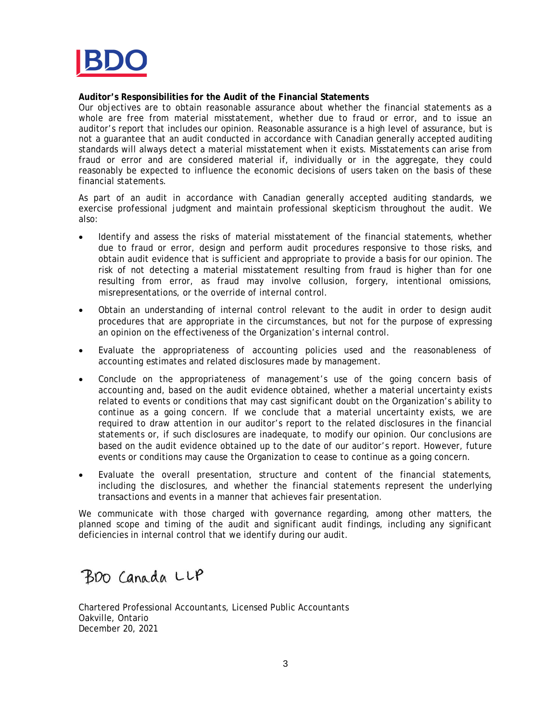

**Auditor's Responsibilities for the Audit of the Financial Statements**

Our objectives are to obtain reasonable assurance about whether the financial statements as a whole are free from material misstatement, whether due to fraud or error, and to issue an auditor's report that includes our opinion. Reasonable assurance is a high level of assurance, but is not a guarantee that an audit conducted in accordance with Canadian generally accepted auditing standards will always detect a material misstatement when it exists. Misstatements can arise from fraud or error and are considered material if, individually or in the aggregate, they could reasonably be expected to influence the economic decisions of users taken on the basis of these financial statements.

As part of an audit in accordance with Canadian generally accepted auditing standards, we exercise professional judgment and maintain professional skepticism throughout the audit. We also:

- Identify and assess the risks of material misstatement of the financial statements, whether due to fraud or error, design and perform audit procedures responsive to those risks, and obtain audit evidence that is sufficient and appropriate to provide a basis for our opinion. The risk of not detecting a material misstatement resulting from fraud is higher than for one resulting from error, as fraud may involve collusion, forgery, intentional omissions, misrepresentations, or the override of internal control.
- Obtain an understanding of internal control relevant to the audit in order to design audit procedures that are appropriate in the circumstances, but not for the purpose of expressing an opinion on the effectiveness of the Organization's internal control.
- Evaluate the appropriateness of accounting policies used and the reasonableness of accounting estimates and related disclosures made by management.
- Conclude on the appropriateness of management's use of the going concern basis of accounting and, based on the audit evidence obtained, whether a material uncertainty exists related to events or conditions that may cast significant doubt on the Organization's ability to continue as a going concern. If we conclude that a material uncertainty exists, we are required to draw attention in our auditor's report to the related disclosures in the financial statements or, if such disclosures are inadequate, to modify our opinion. Our conclusions are based on the audit evidence obtained up to the date of our auditor's report. However, future events or conditions may cause the Organization to cease to continue as a going concern.
- Evaluate the overall presentation, structure and content of the financial statements, including the disclosures, and whether the financial statements represent the underlying transactions and events in a manner that achieves fair presentation.

We communicate with those charged with governance regarding, among other matters, the planned scope and timing of the audit and significant audit findings, including any significant deficiencies in internal control that we identify during our audit.

BDO Canada LLP

Chartered Professional Accountants, Licensed Public Accountants Oakville, Ontario December 20, 2021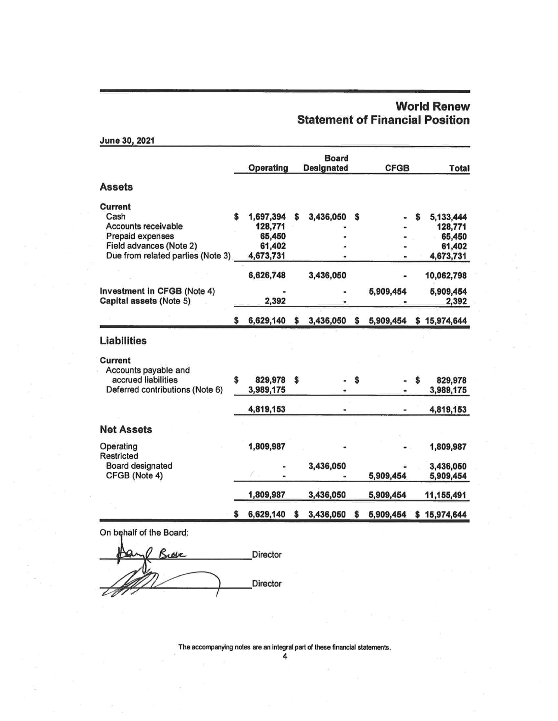## **World Renew Statement of Financial Position**

| JUNE JU, ZUZ I                              |                   |    |                            |    |             |    |                  |
|---------------------------------------------|-------------------|----|----------------------------|----|-------------|----|------------------|
|                                             | Operating         |    | Board<br><b>Designated</b> |    | <b>CFGB</b> |    | <b>Total</b>     |
| <b>Assets</b>                               |                   |    |                            |    |             |    |                  |
| Current                                     |                   |    |                            |    |             |    |                  |
| Cash                                        | 1,697,394         | s  | 3,436,050                  | S  |             | S  | 5,133,444        |
| Accounts receivable                         | 128,771<br>65,450 |    |                            |    |             |    | 128,771          |
| Prepaid expenses<br>Field advances (Note 2) | 61,402            |    |                            |    |             |    | 65,450<br>61,402 |
| Due from related parties (Note 3)           | 4,673,731         |    |                            |    |             |    | 4,673,731        |
|                                             | 6,626,748         |    | 3,436,050                  |    |             |    | 10,062,798       |
| Investment in CFGB (Note 4)                 |                   |    |                            |    | 5,909,454   |    | 5,909,454        |
| Capital assets (Note 5)                     | 2,392             |    |                            |    |             |    | 2,392            |
|                                             | \$<br>6,629,140   | \$ | 3,436,050                  | \$ | 5,909,454   |    | \$15,974,644     |
| <b>Liabilities</b>                          |                   |    |                            |    |             |    |                  |
| Current                                     |                   |    |                            |    |             |    |                  |
| Accounts payable and                        |                   |    |                            |    |             |    |                  |
| accrued liabilities                         | \$<br>829,978     | \$ |                            | S  |             | \$ | 829,978          |
| Deferred contributions (Note 6)             | 3,989,175         |    |                            |    |             |    | 3,989,175        |
|                                             | 4,819,153         |    |                            |    |             |    | 4,819,153        |
| <b>Net Assets</b>                           |                   |    |                            |    |             |    |                  |
| Operating<br>Restricted                     | 1,809,987         |    |                            |    |             |    | 1,809,987        |
| Board designated                            |                   |    | 3,436,050                  |    |             |    | 3,436,050        |
| CFGB (Note 4)                               |                   |    |                            |    | 5,909,454   |    | 5,909,454        |
|                                             | 1,809,987         |    | 3,436,050                  |    | 5,909,454   |    | 11,155,491       |
|                                             | 6,629,140         |    | 3,436,050                  | s  | 5,909,454   | s  | 15,974,644       |

On behalf of the Board:

 $1.0042000004$ 

Director Buser Director

The accompanying notes are an integral part of these financial statements.

4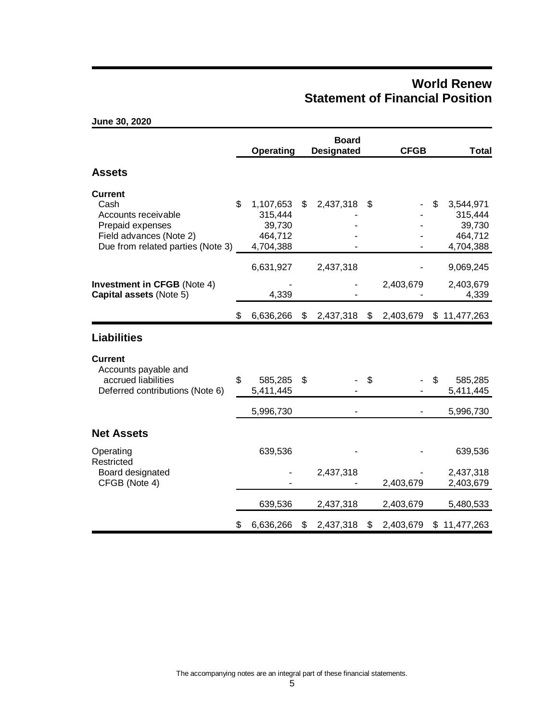## **World Renew Statement of Financial Position**

|                                                                                                                                   |    | <b>Operating</b>                                       |    | <b>Board</b><br><b>Designated</b> |    | <b>CFGB</b> | <b>Total</b>                                                 |
|-----------------------------------------------------------------------------------------------------------------------------------|----|--------------------------------------------------------|----|-----------------------------------|----|-------------|--------------------------------------------------------------|
| <b>Assets</b>                                                                                                                     |    |                                                        |    |                                   |    |             |                                                              |
| <b>Current</b><br>Cash<br>Accounts receivable<br>Prepaid expenses<br>Field advances (Note 2)<br>Due from related parties (Note 3) | \$ | 1,107,653<br>315,444<br>39,730<br>464,712<br>4,704,388 | \$ | 2,437,318                         | \$ |             | \$<br>3,544,971<br>315,444<br>39,730<br>464,712<br>4,704,388 |
|                                                                                                                                   |    | 6,631,927                                              |    | 2,437,318                         |    |             | 9,069,245                                                    |
| <b>Investment in CFGB (Note 4)</b><br>Capital assets (Note 5)                                                                     |    | 4,339                                                  |    |                                   |    | 2,403,679   | 2,403,679<br>4,339                                           |
|                                                                                                                                   | \$ | 6,636,266                                              | S. | 2,437,318                         | -S | 2,403,679   | \$11,477,263                                                 |
| <b>Liabilities</b>                                                                                                                |    |                                                        |    |                                   |    |             |                                                              |
| <b>Current</b><br>Accounts payable and<br>accrued liabilities<br>Deferred contributions (Note 6)                                  | \$ | 585,285<br>5,411,445                                   | \$ |                                   | \$ |             | \$<br>585,285<br>5,411,445                                   |
|                                                                                                                                   |    | 5,996,730                                              |    |                                   |    |             | 5,996,730                                                    |
| <b>Net Assets</b>                                                                                                                 |    |                                                        |    |                                   |    |             |                                                              |
| Operating<br>Restricted                                                                                                           |    | 639,536                                                |    |                                   |    |             | 639,536                                                      |
| Board designated<br>CFGB (Note 4)                                                                                                 |    |                                                        |    | 2,437,318                         |    | 2,403,679   | 2,437,318<br>2,403,679                                       |
|                                                                                                                                   |    | 639,536                                                |    | 2,437,318                         |    | 2,403,679   | 5,480,533                                                    |
|                                                                                                                                   | \$ | 6,636,266                                              | \$ | 2,437,318                         | \$ | 2,403,679   | \$11,477,263                                                 |

**June 30, 2020**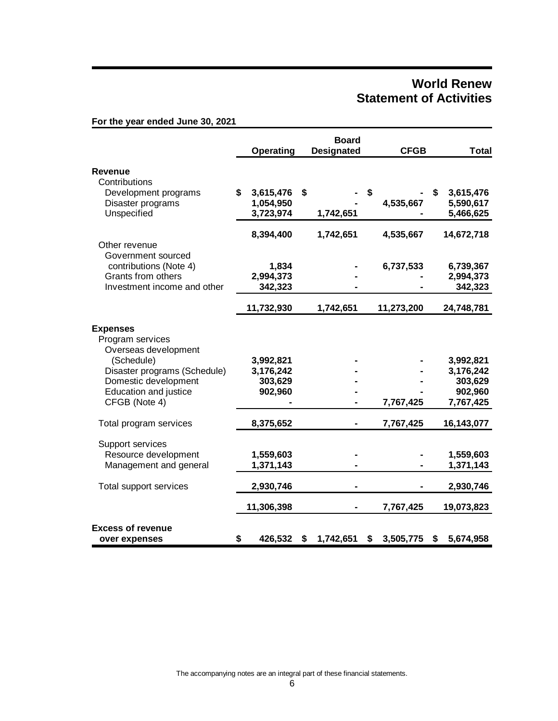## **World Renew Statement of Activities**

|                                                             |                  |    | <b>Board</b>      |                 |                 |
|-------------------------------------------------------------|------------------|----|-------------------|-----------------|-----------------|
|                                                             | <b>Operating</b> |    | <b>Designated</b> | <b>CFGB</b>     | <b>Total</b>    |
| Revenue                                                     |                  |    |                   |                 |                 |
| Contributions                                               |                  |    |                   |                 |                 |
| Development programs                                        | \$<br>3,615,476  | \$ |                   | \$              | \$<br>3,615,476 |
| Disaster programs                                           | 1,054,950        |    |                   | 4,535,667       | 5,590,617       |
| Unspecified                                                 | 3,723,974        |    | 1,742,651         |                 | 5,466,625       |
|                                                             | 8,394,400        |    | 1,742,651         | 4,535,667       | 14,672,718      |
| Other revenue                                               |                  |    |                   |                 |                 |
| Government sourced                                          |                  |    |                   |                 |                 |
| contributions (Note 4)                                      | 1,834            |    |                   | 6,737,533       | 6,739,367       |
| Grants from others                                          | 2,994,373        |    |                   |                 | 2,994,373       |
| Investment income and other                                 | 342,323          |    |                   |                 | 342,323         |
|                                                             | 11,732,930       |    | 1,742,651         | 11,273,200      | 24,748,781      |
| <b>Expenses</b><br>Program services<br>Overseas development |                  |    |                   |                 |                 |
| (Schedule)                                                  | 3,992,821        |    |                   |                 | 3,992,821       |
| Disaster programs (Schedule)                                | 3,176,242        |    |                   |                 | 3,176,242       |
| Domestic development                                        | 303,629          |    |                   |                 | 303,629         |
| <b>Education and justice</b>                                | 902,960          |    |                   |                 | 902,960         |
| CFGB (Note 4)                                               |                  |    |                   | 7,767,425       | 7,767,425       |
| Total program services                                      | 8,375,652        |    |                   | 7,767,425       | 16,143,077      |
| Support services                                            |                  |    |                   |                 |                 |
| Resource development                                        | 1,559,603        |    |                   |                 | 1,559,603       |
| Management and general                                      | 1,371,143        |    |                   |                 | 1,371,143       |
| Total support services                                      | 2,930,746        |    |                   |                 | 2,930,746       |
|                                                             | 11,306,398       |    |                   | 7,767,425       | 19,073,823      |
| <b>Excess of revenue</b><br>over expenses                   | \$<br>426,532    | S  | 1,742,651         | \$<br>3,505,775 | \$<br>5,674,958 |

**For the year ended June 30, 2021**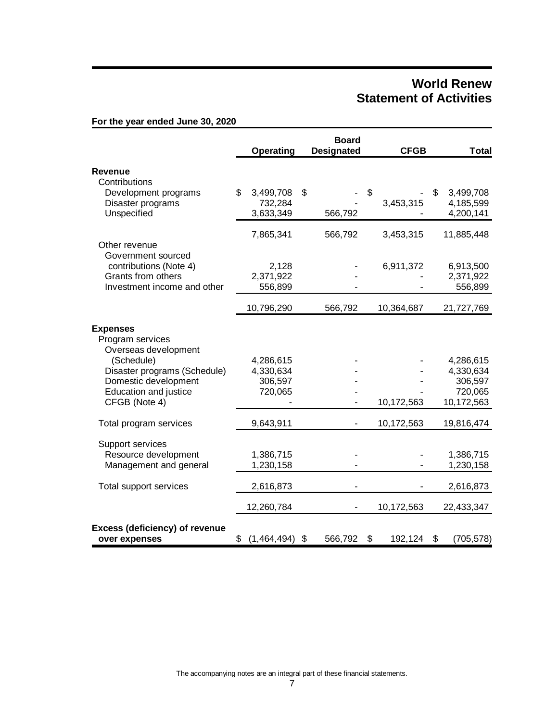## **World Renew Statement of Activities**

|                                                        |    | Operating   | <b>Board</b><br><b>Designated</b> | <b>CFGB</b>   | <b>Total</b>     |
|--------------------------------------------------------|----|-------------|-----------------------------------|---------------|------------------|
| Revenue                                                |    |             |                                   |               |                  |
| Contributions                                          |    |             |                                   |               |                  |
| Development programs                                   | \$ | 3,499,708   | \$                                | \$            | \$<br>3,499,708  |
| Disaster programs                                      |    | 732,284     |                                   | 3,453,315     | 4,185,599        |
| Unspecified                                            |    | 3,633,349   | 566,792                           |               | 4,200,141        |
|                                                        |    | 7,865,341   | 566,792                           | 3,453,315     | 11,885,448       |
| Other revenue                                          |    |             |                                   |               |                  |
| Government sourced                                     |    |             |                                   |               |                  |
| contributions (Note 4)                                 |    | 2,128       |                                   | 6,911,372     | 6,913,500        |
| Grants from others                                     |    | 2,371,922   |                                   |               | 2,371,922        |
| Investment income and other                            |    | 556,899     |                                   |               | 556,899          |
|                                                        |    | 10,796,290  | 566,792                           | 10,364,687    | 21,727,769       |
| <b>Expenses</b>                                        |    |             |                                   |               |                  |
| Program services                                       |    |             |                                   |               |                  |
| Overseas development                                   |    |             |                                   |               |                  |
| (Schedule)                                             |    | 4,286,615   |                                   |               | 4,286,615        |
| Disaster programs (Schedule)                           |    | 4,330,634   |                                   |               | 4,330,634        |
| Domestic development                                   |    | 306,597     |                                   |               | 306,597          |
| Education and justice                                  |    | 720,065     |                                   |               | 720,065          |
| CFGB (Note 4)                                          |    |             |                                   | 10,172,563    | 10,172,563       |
| Total program services                                 |    | 9,643,911   |                                   | 10,172,563    | 19,816,474       |
|                                                        |    |             |                                   |               |                  |
| Support services                                       |    |             |                                   |               |                  |
| Resource development                                   |    | 1,386,715   |                                   |               | 1,386,715        |
| Management and general                                 |    | 1,230,158   |                                   |               | 1,230,158        |
| Total support services                                 |    | 2,616,873   |                                   |               | 2,616,873        |
|                                                        |    | 12,260,784  |                                   | 10,172,563    | 22,433,347       |
| <b>Excess (deficiency) of revenue</b><br>over expenses | \$ | (1,464,494) | \$<br>566,792                     | \$<br>192,124 | \$<br>(705, 578) |

**For the year ended June 30, 2020**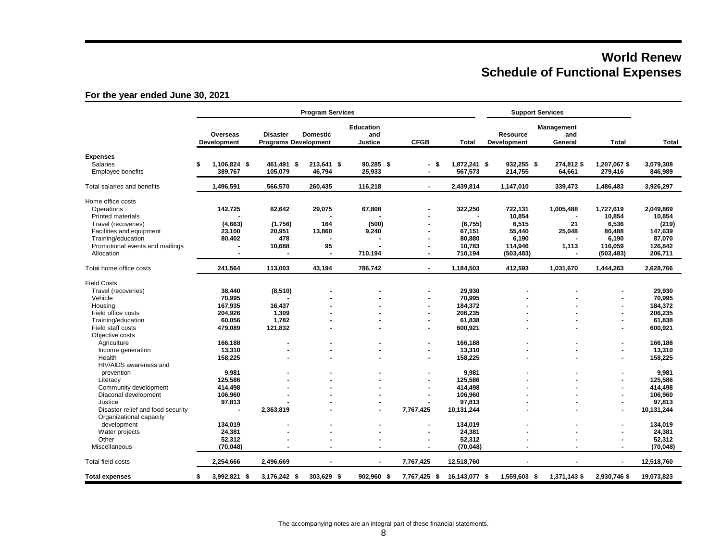# **World Renew Schedule of Functional Expenses**

### **For the year ended June 30, 2021**

|                                   |                         |                                                | <b>Program Services</b> |                                           |                          |               |                                | <b>Support Services</b>      |                |              |
|-----------------------------------|-------------------------|------------------------------------------------|-------------------------|-------------------------------------------|--------------------------|---------------|--------------------------------|------------------------------|----------------|--------------|
|                                   | Overseas<br>Development | <b>Disaster</b><br><b>Programs Development</b> | <b>Domestic</b>         | <b>Education</b><br>and<br><b>Justice</b> | <b>CFGB</b>              | <b>Total</b>  | <b>Resource</b><br>Development | Management<br>and<br>General | <b>Total</b>   | <b>Total</b> |
| <b>Expenses</b>                   |                         |                                                |                         |                                           |                          |               |                                |                              |                |              |
| <b>Salaries</b>                   | 1,106,824 \$<br>\$      | 461,491 \$                                     | 213,641 \$              | 90,285 \$                                 | - \$                     | 1,872,241 \$  | 932,255 \$                     | 274,812 \$                   | 1,207,067\$    | 3,079,308    |
| <b>Employee benefits</b>          | 389,767                 | 105.079                                        | 46,794                  | 25,933                                    |                          | 567,573       | 214,755                        | 64,661                       | 279,416        | 846,989      |
| Total salaries and benefits       | 1,496,591               | 566,570                                        | 260,435                 | 116,218                                   | $\overline{\phantom{0}}$ | 2,439,814     | 1,147,010                      | 339,473                      | 1,486,483      | 3,926,297    |
| Home office costs                 |                         |                                                |                         |                                           |                          |               |                                |                              |                |              |
| Operations                        | 142,725                 | 82,642                                         | 29,075                  | 67,808                                    |                          | 322,250       | 722,131                        | 1,005,488                    | 1,727,619      | 2,049,869    |
| <b>Printed materials</b>          |                         |                                                |                         |                                           |                          |               | 10,854                         |                              | 10,854         | 10,854       |
| Travel (recoveries)               | (4,663)                 | (1,756)                                        | 164                     | (500)                                     |                          | (6,755)       | 6,515                          | 21                           | 6,536          | (219)        |
| Facilities and equipment          | 23,100                  | 20,951                                         | 13,860                  | 9,240                                     |                          | 67,151        | 55,440                         | 25,048                       | 80,488         | 147,639      |
| Training/education                | 80,402                  | 478                                            |                         |                                           |                          | 80,880        | 6,190                          |                              | 6,190          | 87,070       |
| Promotional events and mailings   |                         | 10,688                                         | 95                      |                                           |                          | 10,783        | 114,946                        | 1,113                        | 116,059        | 126,842      |
| Allocation                        | $\blacksquare$          |                                                |                         | 710,194                                   |                          | 710,194       | (503, 483)                     |                              | (503, 483)     | 206,711      |
| Total home office costs           | 241,564                 | 113,003                                        | 43,194                  | 786,742                                   | $\blacksquare$           | 1,184,503     | 412,593                        | 1,031,670                    | 1,444,263      | 2,628,766    |
| <b>Field Costs</b>                |                         |                                                |                         |                                           |                          |               |                                |                              |                |              |
| Travel (recoveries)               | 38,440                  | (8,510)                                        |                         |                                           |                          | 29,930        |                                |                              |                | 29,930       |
| Vehicle                           | 70,995                  |                                                |                         |                                           |                          | 70,995        |                                |                              |                | 70,995       |
| Housing                           | 167,935                 | 16,437                                         |                         |                                           | $\blacksquare$           | 184,372       |                                |                              | ×,             | 184,372      |
| Field office costs                | 204,926                 | 1,309                                          |                         |                                           |                          | 206,235       |                                |                              |                | 206,235      |
| Training/education                | 60,056                  | 1,782                                          |                         |                                           | ٠                        | 61,838        |                                |                              |                | 61,838       |
| Field staff costs                 | 479,089                 | 121,832                                        |                         |                                           |                          | 600,921       |                                |                              |                | 600,921      |
| Objective costs                   |                         |                                                |                         |                                           |                          |               |                                |                              |                |              |
| Agriculture                       | 166,188                 |                                                |                         |                                           | $\blacksquare$           | 166,188       |                                |                              |                | 166,188      |
| Income generation                 | 13,310                  | $\blacksquare$                                 |                         |                                           | $\blacksquare$           | 13,310        |                                |                              | $\blacksquare$ | 13,310       |
| Health                            | 158,225                 |                                                |                         |                                           |                          | 158,225       |                                |                              | $\blacksquare$ | 158,225      |
| HIV/AIDS awareness and            |                         |                                                |                         |                                           |                          |               |                                |                              |                |              |
| prevention                        | 9,981                   |                                                |                         |                                           |                          | 9,981         |                                |                              | $\blacksquare$ | 9,981        |
| Literacy                          | 125,586                 |                                                |                         |                                           | $\blacksquare$           | 125,586       |                                |                              | $\blacksquare$ | 125,586      |
| Community development             | 414,498                 |                                                |                         |                                           |                          | 414,498       |                                |                              |                | 414,498      |
| Diaconal development              | 106,960                 |                                                |                         |                                           |                          | 106,960       |                                |                              |                | 106,960      |
| Justice                           | 97,813                  |                                                |                         |                                           |                          | 97,813        |                                |                              |                | 97,813       |
| Disaster relief and food security |                         | 2,363,819                                      |                         |                                           | 7,767,425                | 10,131,244    |                                |                              |                | 10,131,244   |
| Organizational capacity           |                         |                                                |                         |                                           |                          |               |                                |                              |                |              |
| development                       | 134,019                 |                                                |                         |                                           |                          | 134,019       |                                |                              |                | 134,019      |
| Water projects                    | 24,381                  |                                                |                         |                                           | $\blacksquare$           | 24,381        |                                |                              |                | 24,381       |
| Other                             | 52,312                  |                                                |                         |                                           |                          | 52,312        |                                |                              |                | 52,312       |
| Miscellaneous                     | (70, 048)               |                                                | $\blacksquare$          |                                           | $\blacksquare$           | (70, 048)     | $\blacksquare$                 | $\overline{\phantom{a}}$     | $\blacksquare$ | (70, 048)    |
| Total field costs                 | 2,254,666               | 2,496,669                                      | $\blacksquare$          | $\sim$                                    | 7,767,425                | 12,518,760    | $\blacksquare$                 | $\blacksquare$               | $\blacksquare$ | 12,518,760   |
| <b>Total expenses</b>             | 3,992,821 \$<br>\$      | 3,176,242 \$                                   | 303,629 \$              | 902,960 \$                                | 7,767,425 \$             | 16,143,077 \$ | 1,559,603 \$                   | 1,371,143 \$                 | 2,930,746 \$   | 19,073,823   |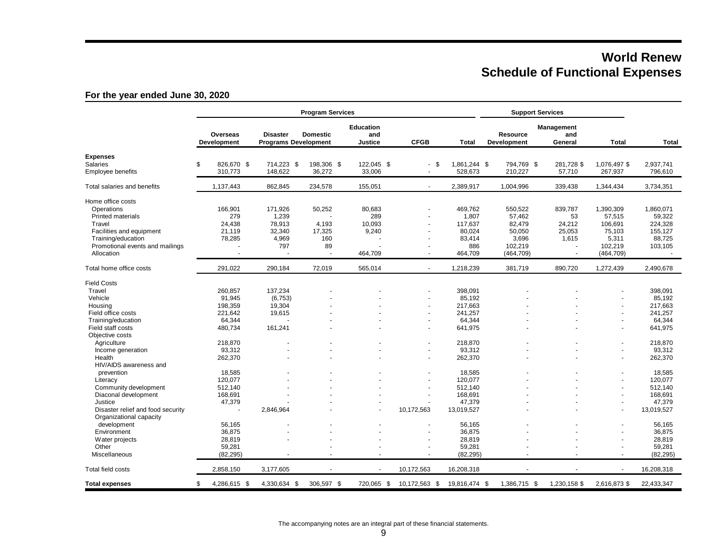# **World Renew Schedule of Functional Expenses**

### **For the year ended June 30, 2020**

|                                   | Overseas<br><b>Development</b> | <b>Disaster</b>             |                          | <b>Education</b>     |                          |                         |                                       |                              |                          |                      |
|-----------------------------------|--------------------------------|-----------------------------|--------------------------|----------------------|--------------------------|-------------------------|---------------------------------------|------------------------------|--------------------------|----------------------|
|                                   |                                | <b>Programs Development</b> | <b>Domestic</b>          | and<br>Justice       | <b>CFGB</b>              | <b>Total</b>            | <b>Resource</b><br><b>Development</b> | Management<br>and<br>General | <b>Total</b>             | <b>Total</b>         |
| <b>Expenses</b>                   |                                |                             |                          |                      |                          |                         |                                       |                              |                          |                      |
| Salaries<br>Employee benefits     | \$<br>826,670 \$<br>310,773    | 714,223 \$<br>148,622       | 198,306 \$<br>36,272     | 122,045 \$<br>33,006 | - \$<br>$\blacksquare$   | 1,861,244 \$<br>528,673 | 794,769 \$<br>210,227                 | 281,728 \$<br>57,710         | 1,076,497 \$<br>267,937  | 2,937,741<br>796,610 |
| Total salaries and benefits       | 1,137,443                      | 862,845                     | 234,578                  | 155,051              | $\omega$                 | 2,389,917               | 1,004,996                             | 339,438                      | 1,344,434                | 3,734,351            |
| Home office costs                 |                                |                             |                          |                      |                          |                         |                                       |                              |                          |                      |
| Operations                        | 166,901                        | 171,926                     | 50,252                   | 80,683               |                          | 469,762                 | 550,522                               | 839,787                      | 1,390,309                | 1,860,071            |
| <b>Printed materials</b>          | 279                            | 1,239                       |                          | 289                  |                          | 1,807                   | 57,462                                | 53                           | 57,515                   | 59,322               |
| Travel                            | 24,438                         | 78,913                      | 4,193                    | 10,093               |                          | 117,637                 | 82,479                                | 24,212                       | 106,691                  | 224,328              |
| Facilities and equipment          | 21,119                         | 32,340                      | 17,325                   | 9,240                | $\overline{\phantom{a}}$ | 80,024                  | 50,050                                | 25,053                       | 75,103                   | 155,127              |
| Training/education                | 78,285                         | 4,969                       | 160                      |                      |                          | 83,414                  | 3,696                                 | 1,615                        | 5,311                    | 88,725               |
| Promotional events and mailings   |                                | 797                         | 89                       |                      | $\overline{a}$           | 886                     | 102,219                               |                              | 102,219                  | 103,105              |
| Allocation                        |                                |                             |                          | 464,709              |                          | 464,709                 | (464, 709)                            |                              | (464, 709)               |                      |
| Total home office costs           | 291,022                        | 290,184                     | 72.019                   | 565,014              | $\sim$                   | 1,218,239               | 381,719                               | 890,720                      | 1,272,439                | 2,490,678            |
| <b>Field Costs</b>                |                                |                             |                          |                      |                          |                         |                                       |                              |                          |                      |
| Travel                            | 260,857                        | 137,234                     |                          |                      |                          | 398,091                 |                                       |                              |                          | 398,091              |
| Vehicle                           | 91,945                         | (6, 753)                    |                          |                      |                          | 85,192                  |                                       |                              | ä,                       | 85,192               |
| Housing                           | 198,359                        | 19,304                      |                          |                      |                          | 217.663                 |                                       |                              | $\blacksquare$           | 217,663              |
| Field office costs                | 221,642                        | 19,615                      |                          |                      |                          | 241,257                 |                                       |                              | ä,                       | 241,257              |
| Training/education                | 64,344                         |                             |                          |                      |                          | 64,344                  |                                       |                              | ä,                       | 64,344               |
| Field staff costs                 | 480,734                        | 161,241                     |                          |                      |                          | 641,975                 |                                       |                              | ٠                        | 641,975              |
| Objective costs                   |                                |                             |                          |                      |                          |                         |                                       |                              |                          |                      |
| Agriculture                       | 218,870                        |                             |                          |                      |                          | 218,870                 |                                       |                              | ÷,                       | 218,870              |
| Income generation                 | 93,312                         |                             |                          |                      | $\blacksquare$           | 93,312                  |                                       |                              | $\overline{\phantom{a}}$ | 93,312               |
| Health                            | 262,370                        |                             |                          |                      |                          | 262,370                 |                                       |                              | ä,                       | 262,370              |
| HIV/AIDS awareness and            |                                |                             |                          |                      |                          |                         |                                       |                              |                          |                      |
| prevention                        | 18,585                         |                             |                          |                      |                          | 18,585                  |                                       |                              |                          | 18,585               |
| Literacy                          | 120,077                        |                             |                          |                      |                          | 120,077                 |                                       |                              |                          | 120,077              |
| Community development             | 512,140                        |                             |                          |                      |                          | 512,140                 |                                       |                              | $\blacksquare$           | 512,140              |
| Diaconal development              | 168,691                        |                             |                          |                      | ٠                        | 168,691                 |                                       |                              |                          | 168,691              |
| Justice                           | 47,379                         |                             |                          |                      |                          | 47,379                  |                                       |                              | ä,                       | 47,379               |
| Disaster relief and food security |                                | 2,846,964                   |                          |                      | 10,172,563               | 13,019,527              |                                       |                              | ä,                       | 13,019,527           |
| Organizational capacity           |                                |                             |                          |                      |                          |                         |                                       |                              |                          |                      |
| development                       | 56,165                         |                             |                          |                      |                          | 56,165                  |                                       |                              |                          | 56,165               |
| Environment                       | 36,875                         |                             |                          |                      |                          | 36,875                  |                                       |                              |                          | 36,875               |
| Water projects                    | 28,819                         |                             |                          |                      |                          | 28,819                  |                                       |                              |                          | 28,819               |
| Other                             | 59.281                         |                             |                          |                      |                          | 59,281                  |                                       |                              |                          | 59,281               |
| <b>Miscellaneous</b>              | (82, 295)                      |                             | $\blacksquare$           |                      | $\sim$                   | (82, 295)               |                                       | $\blacksquare$               | $\sim$                   | (82, 295)            |
| Total field costs                 | 2,858,150                      | 3,177,605                   | $\overline{\phantom{a}}$ |                      | 10,172,563               | 16,208,318              |                                       | $\sim$                       | $\sim$                   | 16,208,318           |
| <b>Total expenses</b>             | \$<br>4,286,615 \$             | 4,330,634 \$                | 306,597 \$               | 720,065 \$           | 10,172,563 \$            | 19,816,474 \$           | 1,386,715 \$                          | 1,230,158 \$                 | 2,616,873 \$             | 22,433,347           |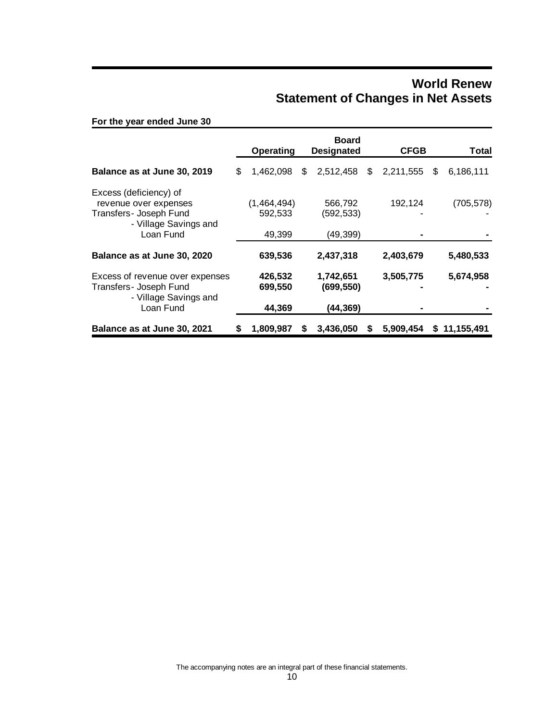## **World Renew Statement of Changes in Net Assets**

**For the year ended June 30**

|                                                                                                                 | <b>Operating</b>                 | <b>Board</b><br><b>Designated</b>   |    | <b>CFGB</b> | Total           |
|-----------------------------------------------------------------------------------------------------------------|----------------------------------|-------------------------------------|----|-------------|-----------------|
| Balance as at June 30, 2019                                                                                     | \$<br>1,462,098                  | \$<br>2,512,458                     | \$ | 2,211,555   | \$<br>6,186,111 |
| Excess (deficiency) of<br>revenue over expenses<br>Transfers- Joseph Fund<br>- Village Savings and<br>Loan Fund | (1,464,494)<br>592,533<br>49,399 | 566,792<br>(592, 533)<br>(49, 399)  |    | 192,124     | (705, 578)      |
| Balance as at June 30, 2020                                                                                     | 639,536                          | 2,437,318                           |    | 2,403,679   | 5,480,533       |
| Excess of revenue over expenses<br>Transfers- Joseph Fund<br>- Village Savings and<br>Loan Fund                 | 426,532<br>699,550<br>44,369     | 1,742,651<br>(699, 550)<br>(44,369) |    | 3,505,775   | 5,674,958       |
| Balance as at June 30, 2021                                                                                     | 1,809,987                        | 3,436,050                           | S  | 5.909,454   | \$11,155,491    |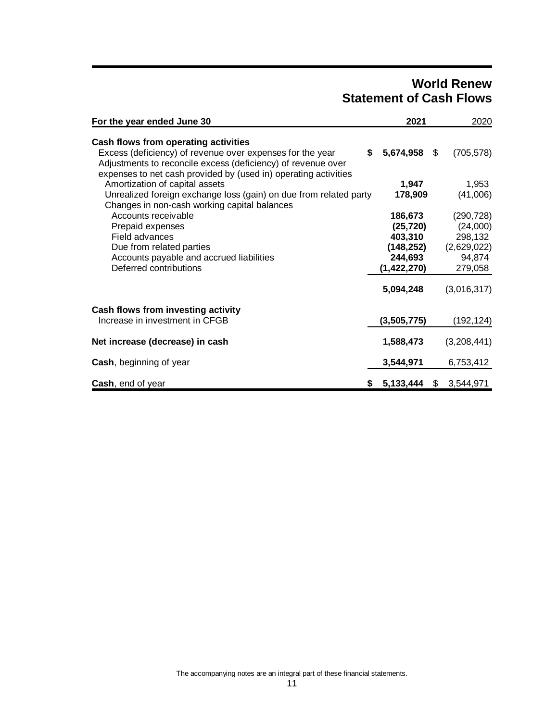# **World Renew Statement of Cash Flows**

| For the year ended June 30                                                                                                                                                                                                           | 2021                                                                     | 2020                                                                  |
|--------------------------------------------------------------------------------------------------------------------------------------------------------------------------------------------------------------------------------------|--------------------------------------------------------------------------|-----------------------------------------------------------------------|
| Cash flows from operating activities<br>Excess (deficiency) of revenue over expenses for the year<br>Adjustments to reconcile excess (deficiency) of revenue over<br>expenses to net cash provided by (used in) operating activities | 5,674,958<br>S.                                                          | \$<br>(705, 578)                                                      |
| Amortization of capital assets<br>Unrealized foreign exchange loss (gain) on due from related party<br>Changes in non-cash working capital balances                                                                                  | 1,947<br>178,909                                                         | 1,953<br>(41,006)                                                     |
| Accounts receivable<br>Prepaid expenses<br>Field advances<br>Due from related parties<br>Accounts payable and accrued liabilities<br>Deferred contributions                                                                          | 186,673<br>(25, 720)<br>403,310<br>(148,252)<br>244,693<br>(1, 422, 270) | (290, 728)<br>(24,000)<br>298,132<br>(2,629,022)<br>94,874<br>279,058 |
| Cash flows from investing activity<br>Increase in investment in CFGB                                                                                                                                                                 | 5,094,248<br>(3,505,775)                                                 | (3,016,317)<br>(192,124)                                              |
| Net increase (decrease) in cash                                                                                                                                                                                                      | 1,588,473                                                                | (3,208,441)                                                           |
| <b>Cash, beginning of year</b>                                                                                                                                                                                                       | 3,544,971                                                                | 6,753,412                                                             |
| Cash, end of year                                                                                                                                                                                                                    | \$5,133,444                                                              | \$<br>3,544,971                                                       |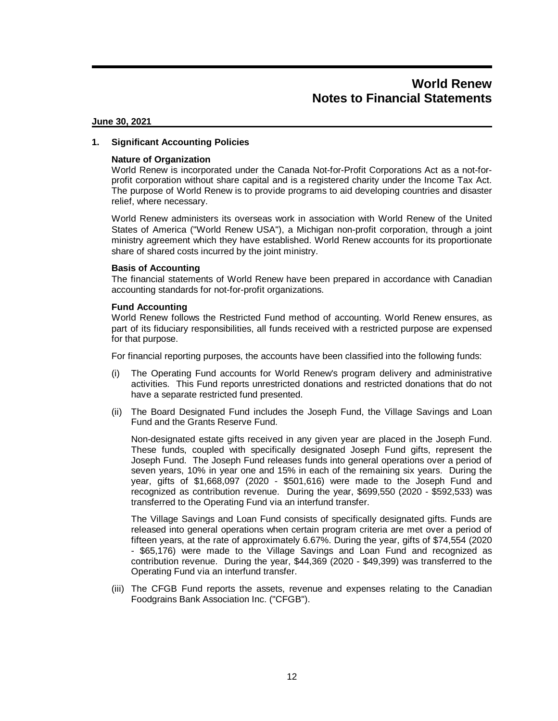#### **June 30, 2021**

#### **1. Significant Accounting Policies**

#### **Nature of Organization**

World Renew is incorporated under the Canada Not-for-Profit Corporations Act as a not-forprofit corporation without share capital and is a registered charity under the Income Tax Act. The purpose of World Renew is to provide programs to aid developing countries and disaster relief, where necessary.

World Renew administers its overseas work in association with World Renew of the United States of America ("World Renew USA"), a Michigan non-profit corporation, through a joint ministry agreement which they have established. World Renew accounts for its proportionate share of shared costs incurred by the joint ministry.

#### **Basis of Accounting**

The financial statements of World Renew have been prepared in accordance with Canadian accounting standards for not-for-profit organizations.

#### **Fund Accounting**

World Renew follows the Restricted Fund method of accounting. World Renew ensures, as part of its fiduciary responsibilities, all funds received with a restricted purpose are expensed for that purpose.

For financial reporting purposes, the accounts have been classified into the following funds:

- (i) The Operating Fund accounts for World Renew's program delivery and administrative activities. This Fund reports unrestricted donations and restricted donations that do not have a separate restricted fund presented.
- (ii) The Board Designated Fund includes the Joseph Fund, the Village Savings and Loan Fund and the Grants Reserve Fund.

Non-designated estate gifts received in any given year are placed in the Joseph Fund. These funds, coupled with specifically designated Joseph Fund gifts, represent the Joseph Fund. The Joseph Fund releases funds into general operations over a period of seven years, 10% in year one and 15% in each of the remaining six years. During the year, gifts of \$1,668,097 (2020 - \$501,616) were made to the Joseph Fund and recognized as contribution revenue. During the year, \$699,550 (2020 - \$592,533) was transferred to the Operating Fund via an interfund transfer.

The Village Savings and Loan Fund consists of specifically designated gifts. Funds are released into general operations when certain program criteria are met over a period of fifteen years, at the rate of approximately 6.67%. During the year, gifts of \$74,554 (2020 - \$65,176) were made to the Village Savings and Loan Fund and recognized as contribution revenue. During the year, \$44,369 (2020 - \$49,399) was transferred to the Operating Fund via an interfund transfer.

(iii) The CFGB Fund reports the assets, revenue and expenses relating to the Canadian Foodgrains Bank Association Inc. ("CFGB").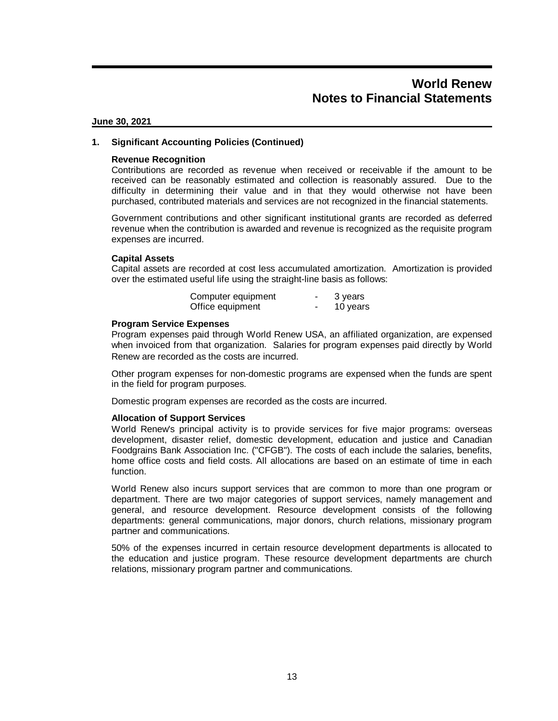#### **June 30, 2021**

#### **1. Significant Accounting Policies (Continued)**

#### **Revenue Recognition**

Contributions are recorded as revenue when received or receivable if the amount to be received can be reasonably estimated and collection is reasonably assured. Due to the difficulty in determining their value and in that they would otherwise not have been purchased, contributed materials and services are not recognized in the financial statements.

Government contributions and other significant institutional grants are recorded as deferred revenue when the contribution is awarded and revenue is recognized as the requisite program expenses are incurred.

#### **Capital Assets**

Capital assets are recorded at cost less accumulated amortization. Amortization is provided over the estimated useful life using the straight-line basis as follows:

| Computer equipment | 3 years  |
|--------------------|----------|
| Office equipment   | 10 years |

#### **Program Service Expenses**

Program expenses paid through World Renew USA, an affiliated organization, are expensed when invoiced from that organization. Salaries for program expenses paid directly by World Renew are recorded as the costs are incurred.

Other program expenses for non-domestic programs are expensed when the funds are spent in the field for program purposes.

Domestic program expenses are recorded as the costs are incurred.

#### **Allocation of Support Services**

World Renew's principal activity is to provide services for five major programs: overseas development, disaster relief, domestic development, education and justice and Canadian Foodgrains Bank Association Inc. ("CFGB"). The costs of each include the salaries, benefits, home office costs and field costs. All allocations are based on an estimate of time in each function.

World Renew also incurs support services that are common to more than one program or department. There are two major categories of support services, namely management and general, and resource development. Resource development consists of the following departments: general communications, major donors, church relations, missionary program partner and communications.

50% of the expenses incurred in certain resource development departments is allocated to the education and justice program. These resource development departments are church relations, missionary program partner and communications.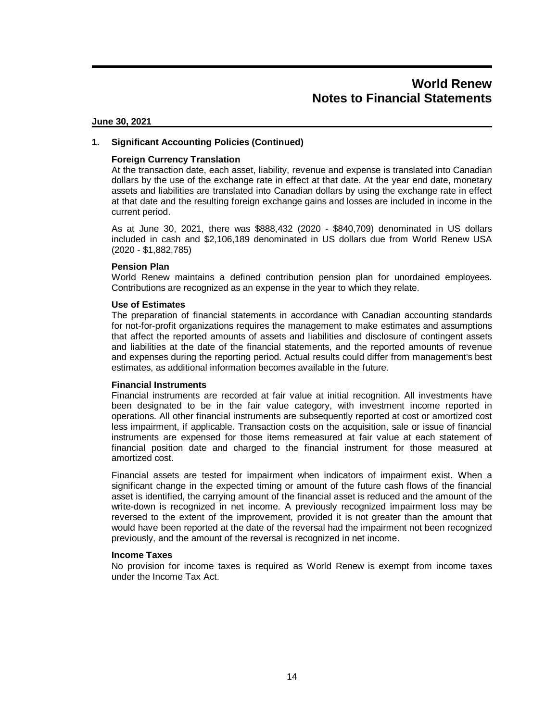#### **June 30, 2021**

#### **1. Significant Accounting Policies (Continued)**

#### **Foreign Currency Translation**

At the transaction date, each asset, liability, revenue and expense is translated into Canadian dollars by the use of the exchange rate in effect at that date. At the year end date, monetary assets and liabilities are translated into Canadian dollars by using the exchange rate in effect at that date and the resulting foreign exchange gains and losses are included in income in the current period.

As at June 30, 2021, there was \$888,432 (2020 - \$840,709) denominated in US dollars included in cash and \$2,106,189 denominated in US dollars due from World Renew USA (2020 - \$1,882,785)

#### **Pension Plan**

World Renew maintains a defined contribution pension plan for unordained employees. Contributions are recognized as an expense in the year to which they relate.

#### **Use of Estimates**

The preparation of financial statements in accordance with Canadian accounting standards for not-for-profit organizations requires the management to make estimates and assumptions that affect the reported amounts of assets and liabilities and disclosure of contingent assets and liabilities at the date of the financial statements, and the reported amounts of revenue and expenses during the reporting period. Actual results could differ from management's best estimates, as additional information becomes available in the future.

#### **Financial Instruments**

Financial instruments are recorded at fair value at initial recognition. All investments have been designated to be in the fair value category, with investment income reported in operations. All other financial instruments are subsequently reported at cost or amortized cost less impairment, if applicable. Transaction costs on the acquisition, sale or issue of financial instruments are expensed for those items remeasured at fair value at each statement of financial position date and charged to the financial instrument for those measured at amortized cost.

Financial assets are tested for impairment when indicators of impairment exist. When a significant change in the expected timing or amount of the future cash flows of the financial asset is identified, the carrying amount of the financial asset is reduced and the amount of the write-down is recognized in net income. A previously recognized impairment loss may be reversed to the extent of the improvement, provided it is not greater than the amount that would have been reported at the date of the reversal had the impairment not been recognized previously, and the amount of the reversal is recognized in net income.

#### **Income Taxes**

No provision for income taxes is required as World Renew is exempt from income taxes under the Income Tax Act.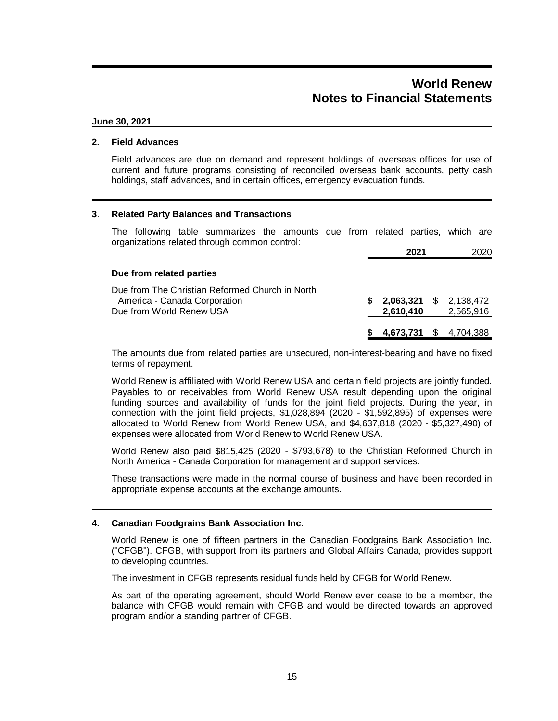#### **June 30, 2021**

#### **2. Field Advances**

Field advances are due on demand and represent holdings of overseas offices for use of current and future programs consisting of reconciled overseas bank accounts, petty cash holdings, staff advances, and in certain offices, emergency evacuation funds.

#### **3**. **Related Party Balances and Transactions**

The following table summarizes the amounts due from related parties, which are organizations related through common control:

|                                                                                                             |    | 2021                   | 2020                                       |
|-------------------------------------------------------------------------------------------------------------|----|------------------------|--------------------------------------------|
| Due from related parties                                                                                    |    |                        |                                            |
| Due from The Christian Reformed Church in North<br>America - Canada Corporation<br>Due from World Renew USA | S. | 2,610,410              | <b>2,063,321</b> \$ 2,138,472<br>2,565,916 |
|                                                                                                             |    | 4,673,731 \$ 4,704,388 |                                            |

The amounts due from related parties are unsecured, non-interest-bearing and have no fixed terms of repayment.

World Renew is affiliated with World Renew USA and certain field projects are jointly funded. Payables to or receivables from World Renew USA result depending upon the original funding sources and availability of funds for the joint field projects. During the year, in connection with the joint field projects, \$1,028,894 (2020 - \$1,592,895) of expenses were allocated to World Renew from World Renew USA, and \$4,637,818 (2020 - \$5,327,490) of expenses were allocated from World Renew to World Renew USA.

World Renew also paid \$815,425 (2020 - \$793,678) to the Christian Reformed Church in North America - Canada Corporation for management and support services.

These transactions were made in the normal course of business and have been recorded in appropriate expense accounts at the exchange amounts.

#### **4. Canadian Foodgrains Bank Association Inc.**

World Renew is one of fifteen partners in the Canadian Foodgrains Bank Association Inc. ("CFGB"). CFGB, with support from its partners and Global Affairs Canada, provides support to developing countries.

The investment in CFGB represents residual funds held by CFGB for World Renew.

As part of the operating agreement, should World Renew ever cease to be a member, the balance with CFGB would remain with CFGB and would be directed towards an approved program and/or a standing partner of CFGB.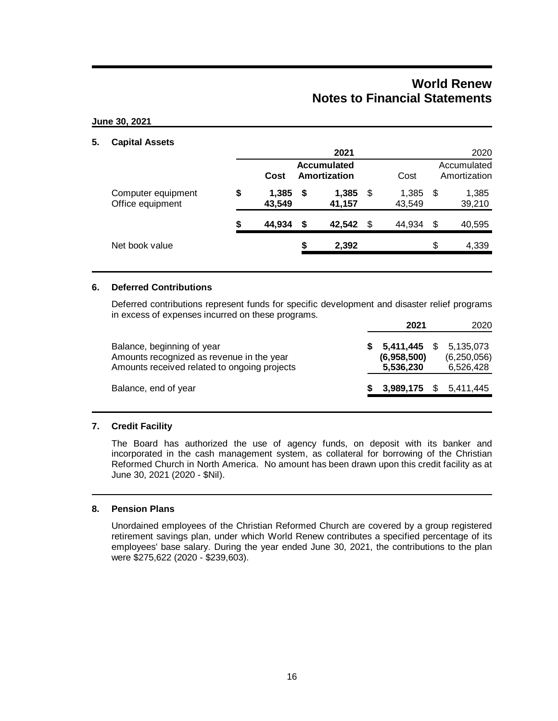#### **June 30, 2021**

#### **5. Capital Assets**

|                                        |    |                 |                                    | 2021            |   |                             |    | 2020            |
|----------------------------------------|----|-----------------|------------------------------------|-----------------|---|-----------------------------|----|-----------------|
|                                        |    | Cost            | <b>Accumulated</b><br>Amortization | Cost            |   | Accumulated<br>Amortization |    |                 |
| Computer equipment<br>Office equipment | \$ | 1,385<br>43,549 | \$                                 | 1,385<br>41,157 | S | 1,385<br>43,549             | S  | 1,385<br>39,210 |
|                                        | S  | 44,934          | \$                                 | 42,542          | S | 44.934                      | \$ | 40,595          |
| Net book value                         |    |                 | \$                                 | 2,392           |   |                             | \$ | 4,339           |
|                                        |    |                 |                                    |                 |   |                             |    |                 |

#### **6. Deferred Contributions**

Deferred contributions represent funds for specific development and disaster relief programs in excess of expenses incurred on these programs.

|                                                                                                                         | 2021                                  | 2020 |                                         |
|-------------------------------------------------------------------------------------------------------------------------|---------------------------------------|------|-----------------------------------------|
| Balance, beginning of year<br>Amounts recognized as revenue in the year<br>Amounts received related to ongoing projects | 5,411,445<br>(6,958,500)<br>5,536,230 |      | 5,135,073<br>(6, 250, 056)<br>6,526,428 |
| Balance, end of year                                                                                                    | <b>3,989,175</b> \$ 5,411,445         |      |                                         |

### **7. Credit Facility**

The Board has authorized the use of agency funds, on deposit with its banker and incorporated in the cash management system, as collateral for borrowing of the Christian Reformed Church in North America. No amount has been drawn upon this credit facility as at June 30, 2021 (2020 - \$Nil).

#### **8. Pension Plans**

Unordained employees of the Christian Reformed Church are covered by a group registered retirement savings plan, under which World Renew contributes a specified percentage of its employees' base salary. During the year ended June 30, 2021, the contributions to the plan were \$275,622 (2020 - \$239,603).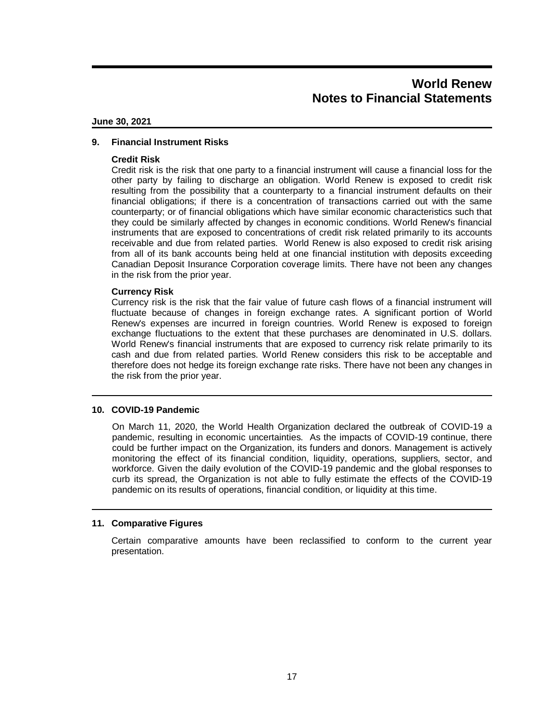#### **June 30, 2021**

#### **9. Financial Instrument Risks**

#### **Credit Risk**

Credit risk is the risk that one party to a financial instrument will cause a financial loss for the other party by failing to discharge an obligation. World Renew is exposed to credit risk resulting from the possibility that a counterparty to a financial instrument defaults on their financial obligations; if there is a concentration of transactions carried out with the same counterparty; or of financial obligations which have similar economic characteristics such that they could be similarly affected by changes in economic conditions. World Renew's financial instruments that are exposed to concentrations of credit risk related primarily to its accounts receivable and due from related parties. World Renew is also exposed to credit risk arising from all of its bank accounts being held at one financial institution with deposits exceeding Canadian Deposit Insurance Corporation coverage limits. There have not been any changes in the risk from the prior year.

#### **Currency Risk**

Currency risk is the risk that the fair value of future cash flows of a financial instrument will fluctuate because of changes in foreign exchange rates. A significant portion of World Renew's expenses are incurred in foreign countries. World Renew is exposed to foreign exchange fluctuations to the extent that these purchases are denominated in U.S. dollars. World Renew's financial instruments that are exposed to currency risk relate primarily to its cash and due from related parties. World Renew considers this risk to be acceptable and therefore does not hedge its foreign exchange rate risks. There have not been any changes in the risk from the prior year.

#### **10. COVID-19 Pandemic**

On March 11, 2020, the World Health Organization declared the outbreak of COVID-19 a pandemic, resulting in economic uncertainties. As the impacts of COVID-19 continue, there could be further impact on the Organization, its funders and donors. Management is actively monitoring the effect of its financial condition, liquidity, operations, suppliers, sector, and workforce. Given the daily evolution of the COVID-19 pandemic and the global responses to curb its spread, the Organization is not able to fully estimate the effects of the COVID-19 pandemic on its results of operations, financial condition, or liquidity at this time.

#### **11. Comparative Figures**

Certain comparative amounts have been reclassified to conform to the current year presentation.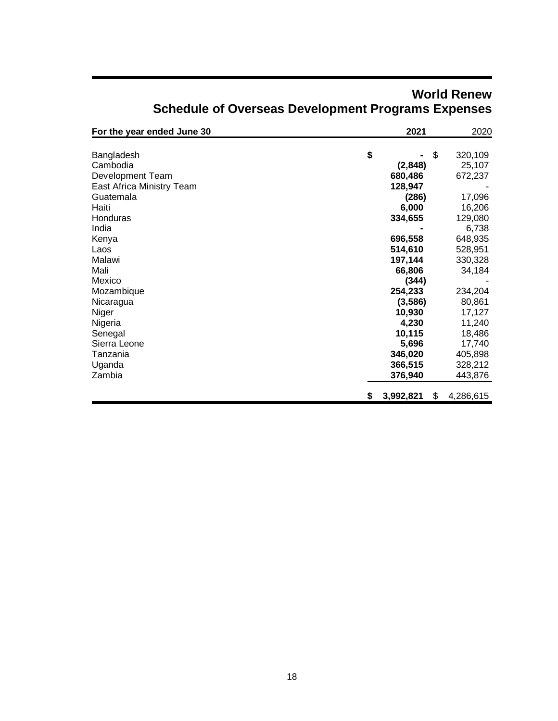| For the year ended June 30 |    | 2021      | 2020            |
|----------------------------|----|-----------|-----------------|
|                            |    |           |                 |
| Bangladesh                 | \$ |           | \$<br>320,109   |
| Cambodia                   |    | (2,848)   | 25,107          |
| Development Team           |    | 680,486   | 672,237         |
| East Africa Ministry Team  |    | 128,947   |                 |
| Guatemala                  |    | (286)     | 17,096          |
| Haiti                      |    | 6,000     | 16,206          |
| Honduras                   |    | 334,655   | 129,080         |
| India                      |    |           | 6,738           |
| Kenya                      |    | 696,558   | 648,935         |
| Laos                       |    | 514,610   | 528,951         |
| Malawi                     |    | 197,144   | 330,328         |
| Mali                       |    | 66,806    | 34,184          |
| Mexico                     |    | (344)     |                 |
| Mozambique                 |    | 254,233   | 234,204         |
| Nicaragua                  |    | (3, 586)  | 80,861          |
| Niger                      |    | 10,930    | 17,127          |
| Nigeria                    |    | 4,230     | 11,240          |
| Senegal                    |    | 10,115    | 18,486          |
| Sierra Leone               |    | 5,696     | 17,740          |
| Tanzania                   |    | 346,020   | 405,898         |
| Uganda                     |    | 366,515   | 328,212         |
| Zambia                     |    | 376,940   | 443,876         |
|                            |    |           |                 |
|                            | S. | 3,992,821 | \$<br>4,286,615 |

# **World Renew Schedule of Overseas Development Programs Expenses**